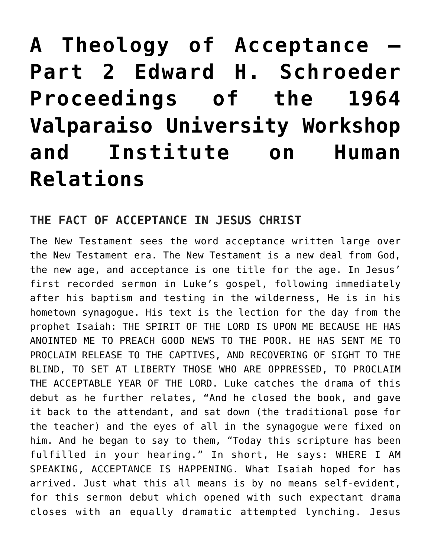# **[A Theology of Acceptance –](https://crossings.org/a-theology-of-acceptance-part-2-edward-h-schroeder-proceedings-of-the-1964-valparaiso-university-workshop-and-institute-on-human-relations/) [Part 2 Edward H. Schroeder](https://crossings.org/a-theology-of-acceptance-part-2-edward-h-schroeder-proceedings-of-the-1964-valparaiso-university-workshop-and-institute-on-human-relations/) [Proceedings of the 1964](https://crossings.org/a-theology-of-acceptance-part-2-edward-h-schroeder-proceedings-of-the-1964-valparaiso-university-workshop-and-institute-on-human-relations/) [Valparaiso University Workshop](https://crossings.org/a-theology-of-acceptance-part-2-edward-h-schroeder-proceedings-of-the-1964-valparaiso-university-workshop-and-institute-on-human-relations/) [and Institute on Human](https://crossings.org/a-theology-of-acceptance-part-2-edward-h-schroeder-proceedings-of-the-1964-valparaiso-university-workshop-and-institute-on-human-relations/) [Relations](https://crossings.org/a-theology-of-acceptance-part-2-edward-h-schroeder-proceedings-of-the-1964-valparaiso-university-workshop-and-institute-on-human-relations/)**

## **THE FACT OF ACCEPTANCE IN JESUS CHRIST**

The New Testament sees the word acceptance written large over the New Testament era. The New Testament is a new deal from God, the new age, and acceptance is one title for the age. In Jesus' first recorded sermon in Luke's gospel, following immediately after his baptism and testing in the wilderness, He is in his hometown synagogue. His text is the lection for the day from the prophet Isaiah: THE SPIRIT OF THE LORD IS UPON ME BECAUSE HE HAS ANOINTED ME TO PREACH GOOD NEWS TO THE POOR. HE HAS SENT ME TO PROCLAIM RELEASE TO THE CAPTIVES, AND RECOVERING OF SIGHT TO THE BLIND, TO SET AT LIBERTY THOSE WHO ARE OPPRESSED, TO PROCLAIM THE ACCEPTABLE YEAR OF THE LORD. Luke catches the drama of this debut as he further relates, "And he closed the book, and gave it back to the attendant, and sat down (the traditional pose for the teacher) and the eyes of all in the synagogue were fixed on him. And he began to say to them, "Today this scripture has been fulfilled in your hearing." In short, He says: WHERE I AM SPEAKING, ACCEPTANCE IS HAPPENING. What Isaiah hoped for has arrived. Just what this all means is by no means self-evident, for this sermon debut which opened with such expectant drama closes with an equally dramatic attempted lynching. Jesus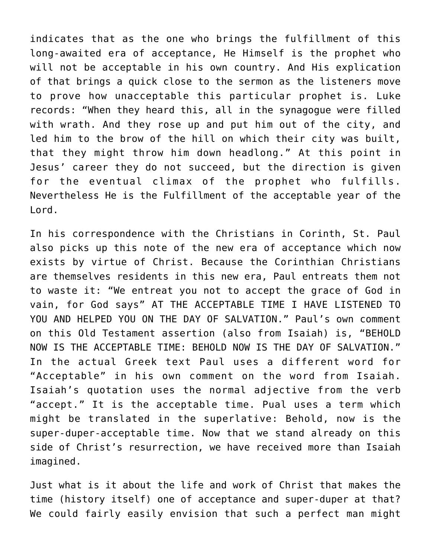indicates that as the one who brings the fulfillment of this long-awaited era of acceptance, He Himself is the prophet who will not be acceptable in his own country. And His explication of that brings a quick close to the sermon as the listeners move to prove how unacceptable this particular prophet is. Luke records: "When they heard this, all in the synagogue were filled with wrath. And they rose up and put him out of the city, and led him to the brow of the hill on which their city was built, that they might throw him down headlong." At this point in Jesus' career they do not succeed, but the direction is given for the eventual climax of the prophet who fulfills. Nevertheless He is the Fulfillment of the acceptable year of the Lord.

In his correspondence with the Christians in Corinth, St. Paul also picks up this note of the new era of acceptance which now exists by virtue of Christ. Because the Corinthian Christians are themselves residents in this new era, Paul entreats them not to waste it: "We entreat you not to accept the grace of God in vain, for God says" AT THE ACCEPTABLE TIME I HAVE LISTENED TO YOU AND HELPED YOU ON THE DAY OF SALVATION." Paul's own comment on this Old Testament assertion (also from Isaiah) is, "BEHOLD NOW IS THE ACCEPTABLE TIME: BEHOLD NOW IS THE DAY OF SALVATION." In the actual Greek text Paul uses a different word for "Acceptable" in his own comment on the word from Isaiah. Isaiah's quotation uses the normal adjective from the verb "accept." It is the acceptable time. Pual uses a term which might be translated in the superlative: Behold, now is the super-duper-acceptable time. Now that we stand already on this side of Christ's resurrection, we have received more than Isaiah imagined.

Just what is it about the life and work of Christ that makes the time (history itself) one of acceptance and super-duper at that? We could fairly easily envision that such a perfect man might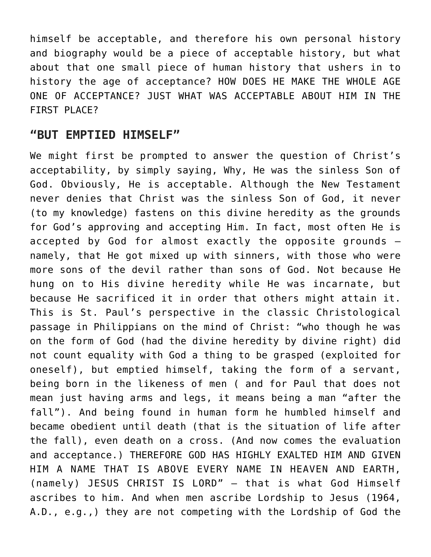himself be acceptable, and therefore his own personal history and biography would be a piece of acceptable history, but what about that one small piece of human history that ushers in to history the age of acceptance? HOW DOES HE MAKE THE WHOLE AGE ONE OF ACCEPTANCE? JUST WHAT WAS ACCEPTABLE ABOUT HIM IN THE FIRST PLACE?

### **"BUT EMPTIED HIMSELF"**

We might first be prompted to answer the question of Christ's acceptability, by simply saying, Why, He was the sinless Son of God. Obviously, He is acceptable. Although the New Testament never denies that Christ was the sinless Son of God, it never (to my knowledge) fastens on this divine heredity as the grounds for God's approving and accepting Him. In fact, most often He is accepted by God for almost exactly the opposite grounds – namely, that He got mixed up with sinners, with those who were more sons of the devil rather than sons of God. Not because He hung on to His divine heredity while He was incarnate, but because He sacrificed it in order that others might attain it. This is St. Paul's perspective in the classic Christological passage in Philippians on the mind of Christ: "who though he was on the form of God (had the divine heredity by divine right) did not count equality with God a thing to be grasped (exploited for oneself), but emptied himself, taking the form of a servant, being born in the likeness of men ( and for Paul that does not mean just having arms and legs, it means being a man "after the fall"). And being found in human form he humbled himself and became obedient until death (that is the situation of life after the fall), even death on a cross. (And now comes the evaluation and acceptance.) THEREFORE GOD HAS HIGHLY EXALTED HIM AND GIVEN HIM A NAME THAT IS ABOVE EVERY NAME IN HEAVEN AND EARTH, (namely) JESUS CHRIST IS LORD" – that is what God Himself ascribes to him. And when men ascribe Lordship to Jesus (1964, A.D., e.g.,) they are not competing with the Lordship of God the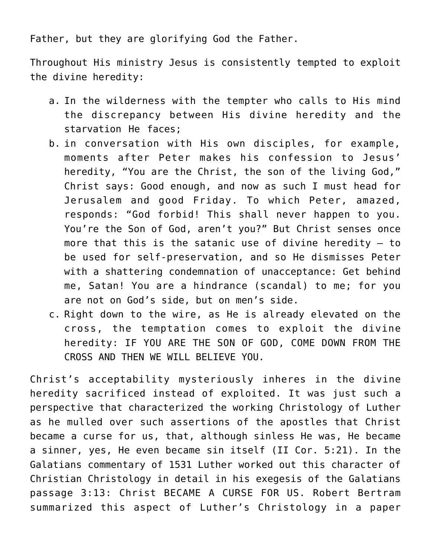Father, but they are glorifying God the Father.

Throughout His ministry Jesus is consistently tempted to exploit the divine heredity:

- a. In the wilderness with the tempter who calls to His mind the discrepancy between His divine heredity and the starvation He faces;
- b. in conversation with His own disciples, for example, moments after Peter makes his confession to Jesus' heredity, "You are the Christ, the son of the living God," Christ says: Good enough, and now as such I must head for Jerusalem and good Friday. To which Peter, amazed, responds: "God forbid! This shall never happen to you. You're the Son of God, aren't you?" But Christ senses once more that this is the satanic use of divine heredity  $-$  to be used for self-preservation, and so He dismisses Peter with a shattering condemnation of unacceptance: Get behind me, Satan! You are a hindrance (scandal) to me; for you are not on God's side, but on men's side.
- c. Right down to the wire, as He is already elevated on the cross, the temptation comes to exploit the divine heredity: IF YOU ARE THE SON OF GOD, COME DOWN FROM THE CROSS AND THEN WE WILL BELIEVE YOU.

Christ's acceptability mysteriously inheres in the divine heredity sacrificed instead of exploited. It was just such a perspective that characterized the working Christology of Luther as he mulled over such assertions of the apostles that Christ became a curse for us, that, although sinless He was, He became a sinner, yes, He even became sin itself (II Cor. 5:21). In the Galatians commentary of 1531 Luther worked out this character of Christian Christology in detail in his exegesis of the Galatians passage 3:13: Christ BECAME A CURSE FOR US. Robert Bertram summarized this aspect of Luther's Christology in a paper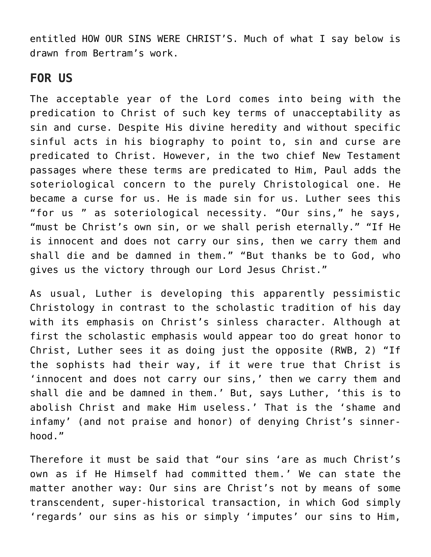entitled HOW OUR SINS WERE CHRIST'S. Much of what I say below is drawn from Bertram's work.

#### **FOR US**

The acceptable year of the Lord comes into being with the predication to Christ of such key terms of unacceptability as sin and curse. Despite His divine heredity and without specific sinful acts in his biography to point to, sin and curse are predicated to Christ. However, in the two chief New Testament passages where these terms are predicated to Him, Paul adds the soteriological concern to the purely Christological one. He became a curse for us. He is made sin for us. Luther sees this "for us " as soteriological necessity. "Our sins," he says, "must be Christ's own sin, or we shall perish eternally." "If He is innocent and does not carry our sins, then we carry them and shall die and be damned in them." "But thanks be to God, who gives us the victory through our Lord Jesus Christ."

As usual, Luther is developing this apparently pessimistic Christology in contrast to the scholastic tradition of his day with its emphasis on Christ's sinless character. Although at first the scholastic emphasis would appear too do great honor to Christ, Luther sees it as doing just the opposite (RWB, 2) "If the sophists had their way, if it were true that Christ is 'innocent and does not carry our sins,' then we carry them and shall die and be damned in them.' But, says Luther, 'this is to abolish Christ and make Him useless.' That is the 'shame and infamy' (and not praise and honor) of denying Christ's sinnerhood."

Therefore it must be said that "our sins 'are as much Christ's own as if He Himself had committed them.' We can state the matter another way: Our sins are Christ's not by means of some transcendent, super-historical transaction, in which God simply 'regards' our sins as his or simply 'imputes' our sins to Him,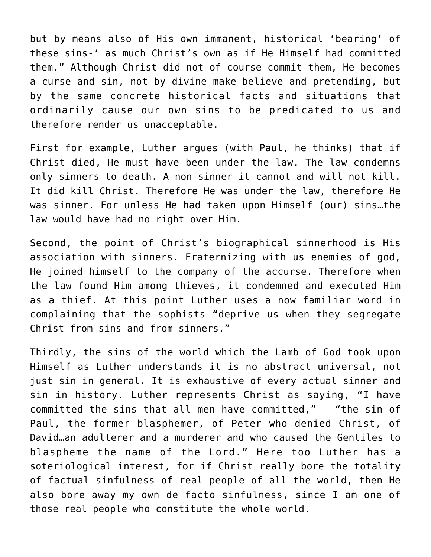but by means also of His own immanent, historical 'bearing' of these sins-' as much Christ's own as if He Himself had committed them." Although Christ did not of course commit them, He becomes a curse and sin, not by divine make-believe and pretending, but by the same concrete historical facts and situations that ordinarily cause our own sins to be predicated to us and therefore render us unacceptable.

First for example, Luther argues (with Paul, he thinks) that if Christ died, He must have been under the law. The law condemns only sinners to death. A non-sinner it cannot and will not kill. It did kill Christ. Therefore He was under the law, therefore He was sinner. For unless He had taken upon Himself (our) sins…the law would have had no right over Him.

Second, the point of Christ's biographical sinnerhood is His association with sinners. Fraternizing with us enemies of god, He joined himself to the company of the accurse. Therefore when the law found Him among thieves, it condemned and executed Him as a thief. At this point Luther uses a now familiar word in complaining that the sophists "deprive us when they segregate Christ from sins and from sinners."

Thirdly, the sins of the world which the Lamb of God took upon Himself as Luther understands it is no abstract universal, not just sin in general. It is exhaustive of every actual sinner and sin in history. Luther represents Christ as saying, "I have committed the sins that all men have committed," – "the sin of Paul, the former blasphemer, of Peter who denied Christ, of David…an adulterer and a murderer and who caused the Gentiles to blaspheme the name of the Lord." Here too Luther has a soteriological interest, for if Christ really bore the totality of factual sinfulness of real people of all the world, then He also bore away my own de facto sinfulness, since I am one of those real people who constitute the whole world.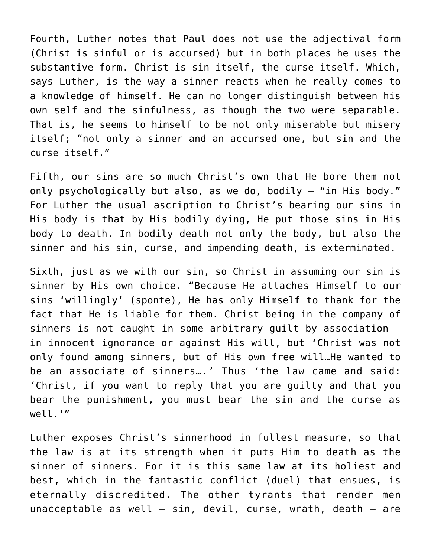Fourth, Luther notes that Paul does not use the adjectival form (Christ is sinful or is accursed) but in both places he uses the substantive form. Christ is sin itself, the curse itself. Which, says Luther, is the way a sinner reacts when he really comes to a knowledge of himself. He can no longer distinguish between his own self and the sinfulness, as though the two were separable. That is, he seems to himself to be not only miserable but misery itself; "not only a sinner and an accursed one, but sin and the curse itself."

Fifth, our sins are so much Christ's own that He bore them not only psychologically but also, as we do, bodily – "in His body." For Luther the usual ascription to Christ's bearing our sins in His body is that by His bodily dying, He put those sins in His body to death. In bodily death not only the body, but also the sinner and his sin, curse, and impending death, is exterminated.

Sixth, just as we with our sin, so Christ in assuming our sin is sinner by His own choice. "Because He attaches Himself to our sins 'willingly' (sponte), He has only Himself to thank for the fact that He is liable for them. Christ being in the company of sinners is not caught in some arbitrary guilt by association – in innocent ignorance or against His will, but 'Christ was not only found among sinners, but of His own free will…He wanted to be an associate of sinners….' Thus 'the law came and said: 'Christ, if you want to reply that you are guilty and that you bear the punishment, you must bear the sin and the curse as well.'"

Luther exposes Christ's sinnerhood in fullest measure, so that the law is at its strength when it puts Him to death as the sinner of sinners. For it is this same law at its holiest and best, which in the fantastic conflict (duel) that ensues, is eternally discredited. The other tyrants that render men unacceptable as well  $-$  sin, devil, curse, wrath, death  $-$  are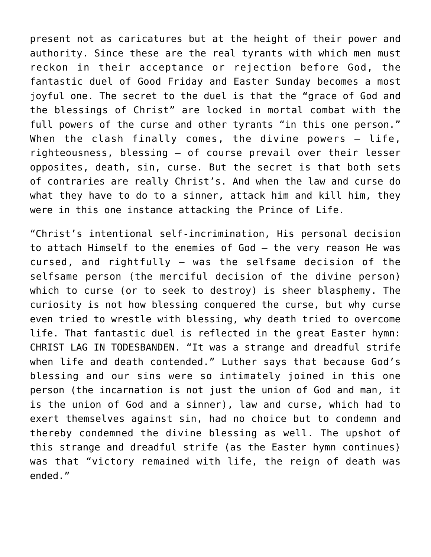present not as caricatures but at the height of their power and authority. Since these are the real tyrants with which men must reckon in their acceptance or rejection before God, the fantastic duel of Good Friday and Easter Sunday becomes a most joyful one. The secret to the duel is that the "grace of God and the blessings of Christ" are locked in mortal combat with the full powers of the curse and other tyrants "in this one person." When the clash finally comes, the divine powers  $-$  life, righteousness, blessing – of course prevail over their lesser opposites, death, sin, curse. But the secret is that both sets of contraries are really Christ's. And when the law and curse do what they have to do to a sinner, attack him and kill him, they were in this one instance attacking the Prince of Life.

"Christ's intentional self-incrimination, His personal decision to attach Himself to the enemies of God – the very reason He was cursed, and rightfully – was the selfsame decision of the selfsame person (the merciful decision of the divine person) which to curse (or to seek to destroy) is sheer blasphemy. The curiosity is not how blessing conquered the curse, but why curse even tried to wrestle with blessing, why death tried to overcome life. That fantastic duel is reflected in the great Easter hymn: CHRIST LAG IN TODESBANDEN. "It was a strange and dreadful strife when life and death contended." Luther says that because God's blessing and our sins were so intimately joined in this one person (the incarnation is not just the union of God and man, it is the union of God and a sinner), law and curse, which had to exert themselves against sin, had no choice but to condemn and thereby condemned the divine blessing as well. The upshot of this strange and dreadful strife (as the Easter hymn continues) was that "victory remained with life, the reign of death was ended."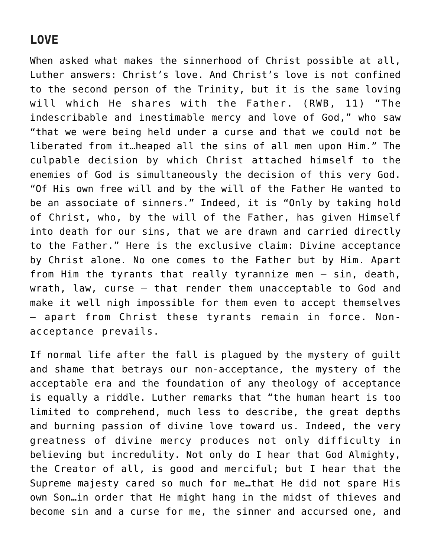## **LOVE**

When asked what makes the sinnerhood of Christ possible at all, Luther answers: Christ's love. And Christ's love is not confined to the second person of the Trinity, but it is the same loving will which He shares with the Father. (RWB, 11) "The indescribable and inestimable mercy and love of God," who saw "that we were being held under a curse and that we could not be liberated from it…heaped all the sins of all men upon Him." The culpable decision by which Christ attached himself to the enemies of God is simultaneously the decision of this very God. "Of His own free will and by the will of the Father He wanted to be an associate of sinners." Indeed, it is "Only by taking hold of Christ, who, by the will of the Father, has given Himself into death for our sins, that we are drawn and carried directly to the Father." Here is the exclusive claim: Divine acceptance by Christ alone. No one comes to the Father but by Him. Apart from Him the tyrants that really tyrannize men – sin, death, wrath, law, curse – that render them unacceptable to God and make it well nigh impossible for them even to accept themselves – apart from Christ these tyrants remain in force. Nonacceptance prevails.

If normal life after the fall is plagued by the mystery of guilt and shame that betrays our non-acceptance, the mystery of the acceptable era and the foundation of any theology of acceptance is equally a riddle. Luther remarks that "the human heart is too limited to comprehend, much less to describe, the great depths and burning passion of divine love toward us. Indeed, the very greatness of divine mercy produces not only difficulty in believing but incredulity. Not only do I hear that God Almighty, the Creator of all, is good and merciful; but I hear that the Supreme majesty cared so much for me…that He did not spare His own Son…in order that He might hang in the midst of thieves and become sin and a curse for me, the sinner and accursed one, and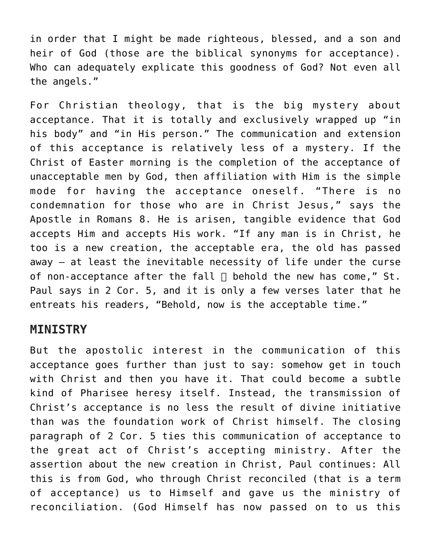in order that I might be made righteous, blessed, and a son and heir of God (those are the biblical synonyms for acceptance). Who can adequately explicate this goodness of God? Not even all the angels."

For Christian theology, that is the big mystery about acceptance. That it is totally and exclusively wrapped up "in his body" and "in His person." The communication and extension of this acceptance is relatively less of a mystery. If the Christ of Easter morning is the completion of the acceptance of unacceptable men by God, then affiliation with Him is the simple mode for having the acceptance oneself. "There is no condemnation for those who are in Christ Jesus," says the Apostle in Romans 8. He is arisen, tangible evidence that God accepts Him and accepts His work. "If any man is in Christ, he too is a new creation, the acceptable era, the old has passed away – at least the inevitable necessity of life under the curse of non-acceptance after the fall  $\Box$  behold the new has come," St. Paul says in 2 Cor. 5, and it is only a few verses later that he entreats his readers, "Behold, now is the acceptable time."

#### **MINISTRY**

But the apostolic interest in the communication of this acceptance goes further than just to say: somehow get in touch with Christ and then you have it. That could become a subtle kind of Pharisee heresy itself. Instead, the transmission of Christ's acceptance is no less the result of divine initiative than was the foundation work of Christ himself. The closing paragraph of 2 Cor. 5 ties this communication of acceptance to the great act of Christ's accepting ministry. After the assertion about the new creation in Christ, Paul continues: All this is from God, who through Christ reconciled (that is a term of acceptance) us to Himself and gave us the ministry of reconciliation. (God Himself has now passed on to us this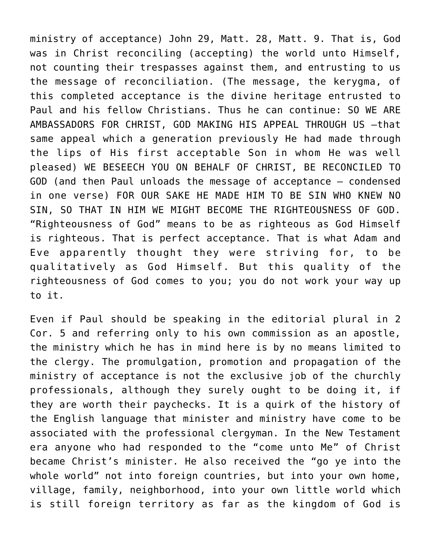ministry of acceptance) John 29, Matt. 28, Matt. 9. That is, God was in Christ reconciling (accepting) the world unto Himself, not counting their trespasses against them, and entrusting to us the message of reconciliation. (The message, the kerygma, of this completed acceptance is the divine heritage entrusted to Paul and his fellow Christians. Thus he can continue: SO WE ARE AMBASSADORS FOR CHRIST, GOD MAKING HIS APPEAL THROUGH US –that same appeal which a generation previously He had made through the lips of His first acceptable Son in whom He was well pleased) WE BESEECH YOU ON BEHALF OF CHRIST, BE RECONCILED TO GOD (and then Paul unloads the message of acceptance – condensed in one verse) FOR OUR SAKE HE MADE HIM TO BE SIN WHO KNEW NO SIN, SO THAT IN HIM WE MIGHT BECOME THE RIGHTEOUSNESS OF GOD. "Righteousness of God" means to be as righteous as God Himself is righteous. That is perfect acceptance. That is what Adam and Eve apparently thought they were striving for, to be qualitatively as God Himself. But this quality of the righteousness of God comes to you; you do not work your way up to it.

Even if Paul should be speaking in the editorial plural in 2 Cor. 5 and referring only to his own commission as an apostle, the ministry which he has in mind here is by no means limited to the clergy. The promulgation, promotion and propagation of the ministry of acceptance is not the exclusive job of the churchly professionals, although they surely ought to be doing it, if they are worth their paychecks. It is a quirk of the history of the English language that minister and ministry have come to be associated with the professional clergyman. In the New Testament era anyone who had responded to the "come unto Me" of Christ became Christ's minister. He also received the "go ye into the whole world" not into foreign countries, but into your own home, village, family, neighborhood, into your own little world which is still foreign territory as far as the kingdom of God is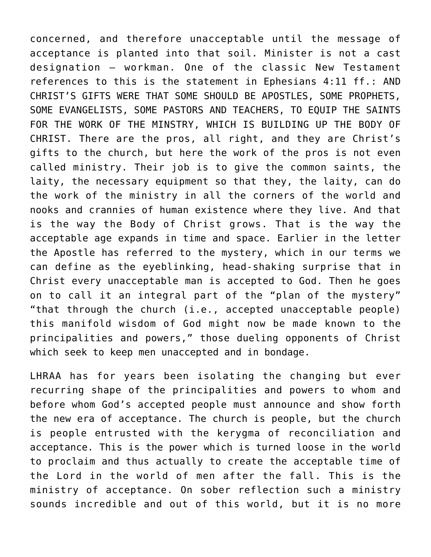concerned, and therefore unacceptable until the message of acceptance is planted into that soil. Minister is not a cast designation – workman. One of the classic New Testament references to this is the statement in Ephesians 4:11 ff.: AND CHRIST'S GIFTS WERE THAT SOME SHOULD BE APOSTLES, SOME PROPHETS, SOME EVANGELISTS, SOME PASTORS AND TEACHERS, TO EQUIP THE SAINTS FOR THE WORK OF THE MINSTRY, WHICH IS BUILDING UP THE BODY OF CHRIST. There are the pros, all right, and they are Christ's gifts to the church, but here the work of the pros is not even called ministry. Their job is to give the common saints, the laity, the necessary equipment so that they, the laity, can do the work of the ministry in all the corners of the world and nooks and crannies of human existence where they live. And that is the way the Body of Christ grows. That is the way the acceptable age expands in time and space. Earlier in the letter the Apostle has referred to the mystery, which in our terms we can define as the eyeblinking, head-shaking surprise that in Christ every unacceptable man is accepted to God. Then he goes on to call it an integral part of the "plan of the mystery" "that through the church (i.e., accepted unacceptable people) this manifold wisdom of God might now be made known to the principalities and powers," those dueling opponents of Christ which seek to keep men unaccepted and in bondage.

LHRAA has for years been isolating the changing but ever recurring shape of the principalities and powers to whom and before whom God's accepted people must announce and show forth the new era of acceptance. The church is people, but the church is people entrusted with the kerygma of reconciliation and acceptance. This is the power which is turned loose in the world to proclaim and thus actually to create the acceptable time of the Lord in the world of men after the fall. This is the ministry of acceptance. On sober reflection such a ministry sounds incredible and out of this world, but it is no more